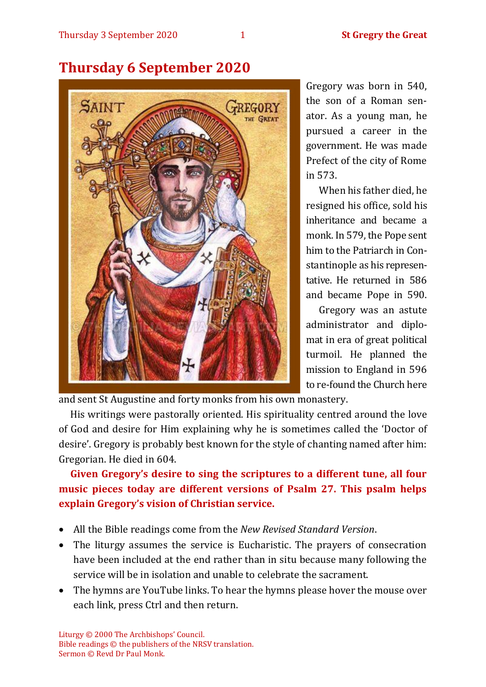

# **Thursday 6 September 2020**

Gregory was born in 540, the son of a Roman senator. As a young man, he pursued a career in the government. He was made Prefect of the city of Rome in 573.

When his father died, he resigned his office, sold his inheritance and became a monk. In 579, the Pope sent him to the Patriarch in Constantinople as his representative. He returned in 586 and became Pope in 590.

Gregory was an astute administrator and diplomat in era of great political turmoil. He planned the mission to England in 596 to re-found the Church here

and sent St Augustine and forty monks from his own monastery.

His writings were pastorally oriented. His spirituality centred around the love of God and desire for Him explaining why he is sometimes called the 'Doctor of desire'. Gregory is probably best known for the style of chanting named after him: Gregorian. He died in 604.

**Given Gregory's desire to sing the scriptures to a different tune, all four music pieces today are different versions of Psalm 27. This psalm helps explain Gregory's vision of Christian service.** 

- All the Bible readings come from the *New Revised Standard Version*.
- The liturgy assumes the service is Eucharistic. The prayers of consecration have been included at the end rather than in situ because many following the service will be in isolation and unable to celebrate the sacrament.
- The hymns are YouTube links. To hear the hymns please hover the mouse over each link, press Ctrl and then return.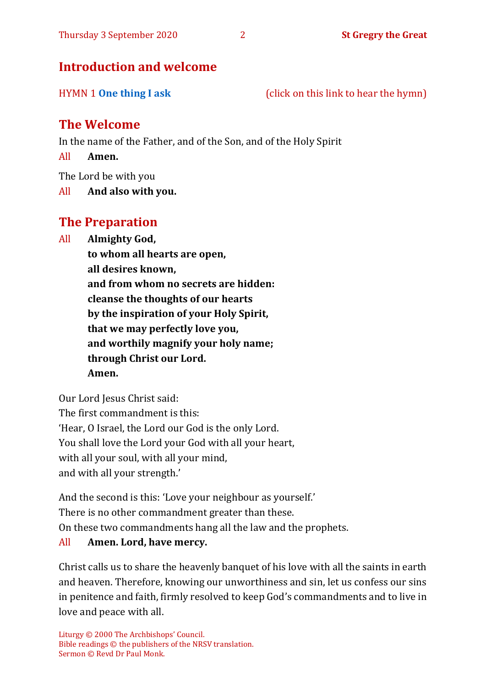## **Introduction and welcome**

HYMN 1 **[One thing I ask](https://www.youtube.com/watch?v=sk-KEsSZaP0)** (click on this link to hear the hymn)

# **The Welcome**

In the name of the Father, and of the Son, and of the Holy Spirit

All **Amen.**

The Lord be with you

All **And also with you.**

# **The Preparation**

All **Almighty God,**

**to whom all hearts are open, all desires known, and from whom no secrets are hidden: cleanse the thoughts of our hearts by the inspiration of your Holy Spirit, that we may perfectly love you, and worthily magnify your holy name; through Christ our Lord. Amen.**

Our Lord Jesus Christ said: The first commandment is this: 'Hear, O Israel, the Lord our God is the only Lord. You shall love the Lord your God with all your heart, with all your soul, with all your mind, and with all your strength.'

And the second is this: 'Love your neighbour as yourself.' There is no other commandment greater than these. On these two commandments hang all the law and the prophets. All **Amen. Lord, have mercy.**

Christ calls us to share the heavenly banquet of his love with all the saints in earth and heaven. Therefore, knowing our unworthiness and sin, let us confess our sins in penitence and faith, firmly resolved to keep God's commandments and to live in love and peace with all.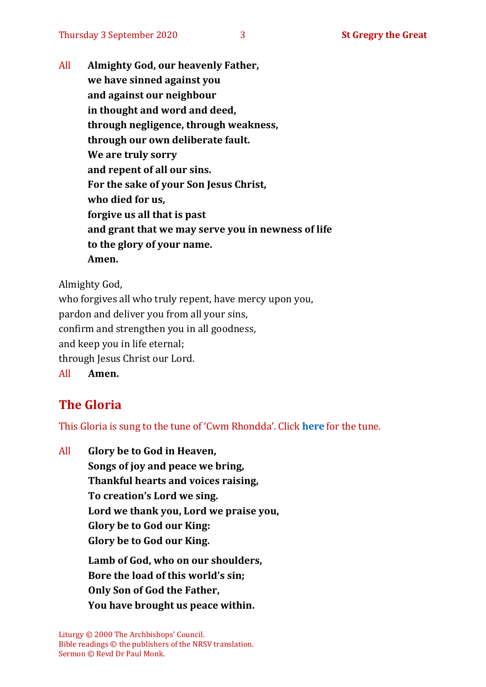All **Almighty God, our heavenly Father, we have sinned against you and against our neighbour in thought and word and deed, through negligence, through weakness, through our own deliberate fault. We are truly sorry and repent of all our sins. For the sake of your Son Jesus Christ, who died for us, forgive us all that is past and grant that we may serve you in newness of life to the glory of your name. Amen.**

Almighty God,

who forgives all who truly repent, have mercy upon you, pardon and deliver you from all your sins, confirm and strengthen you in all goodness, and keep you in life eternal; through Jesus Christ our Lord. All **Amen.**

# **The Gloria**

This Gloria is sung to the tune of 'Cwm Rhondda'. Click **[here](about:blank)** for the tune.

All **Glory be to God in Heaven, Songs of joy and peace we bring, Thankful hearts and voices raising, To creation's Lord we sing. Lord we thank you, Lord we praise you, Glory be to God our King: Glory be to God our King. Lamb of God, who on our shoulders, Bore the load of this world's sin; Only Son of God the Father, You have brought us peace within.**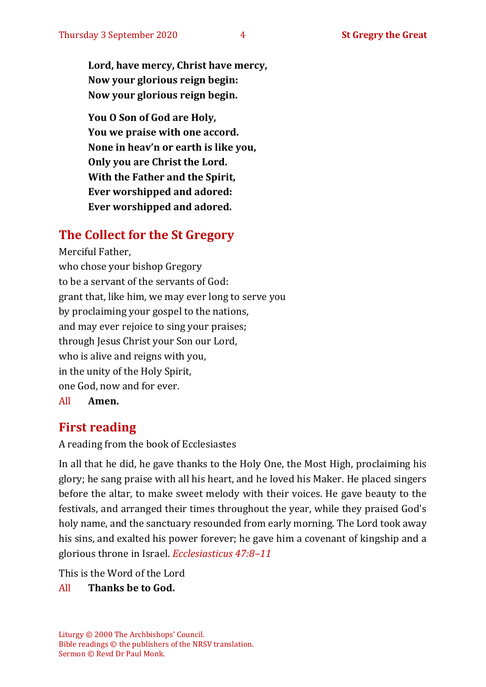**Lord, have mercy, Christ have mercy, Now your glorious reign begin: Now your glorious reign begin.**

**You O Son of God are Holy, You we praise with one accord. None in heav'n or earth is like you, Only you are Christ the Lord. With the Father and the Spirit, Ever worshipped and adored: Ever worshipped and adored.**

# **The Collect for the St Gregory**

Merciful Father, who chose your bishop Gregory to be a servant of the servants of God: grant that, like him, we may ever long to serve you by proclaiming your gospel to the nations, and may ever rejoice to sing your praises; through Jesus Christ your Son our Lord, who is alive and reigns with you, in the unity of the Holy Spirit, one God, now and for ever. All **Amen.**

# **First reading**

A reading from the book of Ecclesiastes

In all that he did, he gave thanks to the Holy One, the Most High, proclaiming his glory; he sang praise with all his heart, and he loved his Maker. He placed singers before the altar, to make sweet melody with their voices. He gave beauty to the festivals, and arranged their times throughout the year, while they praised God's holy name, and the sanctuary resounded from early morning. The Lord took away his sins, and exalted his power forever; he gave him a covenant of kingship and a glorious throne in Israel. *Ecclesiasticus 47:8–11*

This is the Word of the Lord

#### All **Thanks be to God.**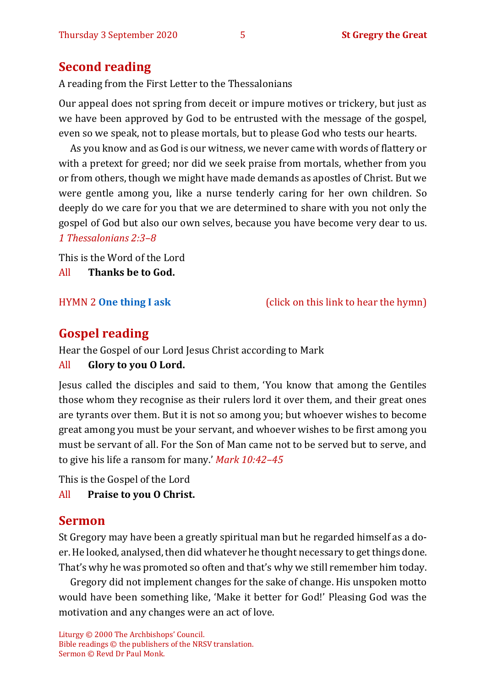# **Second reading**

A reading from the First Letter to the Thessalonians

Our appeal does not spring from deceit or impure motives or trickery, but just as we have been approved by God to be entrusted with the message of the gospel, even so we speak, not to please mortals, but to please God who tests our hearts.

As you know and as God is our witness, we never came with words of flattery or with a pretext for greed; nor did we seek praise from mortals, whether from you or from others, though we might have made demands as apostles of Christ. But we were gentle among you, like a nurse tenderly caring for her own children. So deeply do we care for you that we are determined to share with you not only the gospel of God but also our own selves, because you have become very dear to us. *1 Thessalonians 2:3–8*

This is the Word of the Lord

All **Thanks be to God.**

HYMN 2 **[One thing I ask](https://www.youtube.com/watch?v=P--btaCO7pk)** (click on this link to hear the hymn)

# **Gospel reading**

Hear the Gospel of our Lord Jesus Christ according to Mark

#### All **Glory to you O Lord.**

Jesus called the disciples and said to them, 'You know that among the Gentiles those whom they recognise as their rulers lord it over them, and their great ones are tyrants over them. But it is not so among you; but whoever wishes to become great among you must be your servant, and whoever wishes to be first among you must be servant of all. For the Son of Man came not to be served but to serve, and to give his life a ransom for many.' *Mark 10:42–45*

This is the Gospel of the Lord

All **Praise to you O Christ.** 

# **Sermon**

St Gregory may have been a greatly spiritual man but he regarded himself as a doer.He looked, analysed, then did whatever he thought necessary to get things done. That's why he was promoted so often and that's why we still remember him today.

Gregory did not implement changes for the sake of change. His unspoken motto would have been something like, 'Make it better for God!' Pleasing God was the motivation and any changes were an act of love.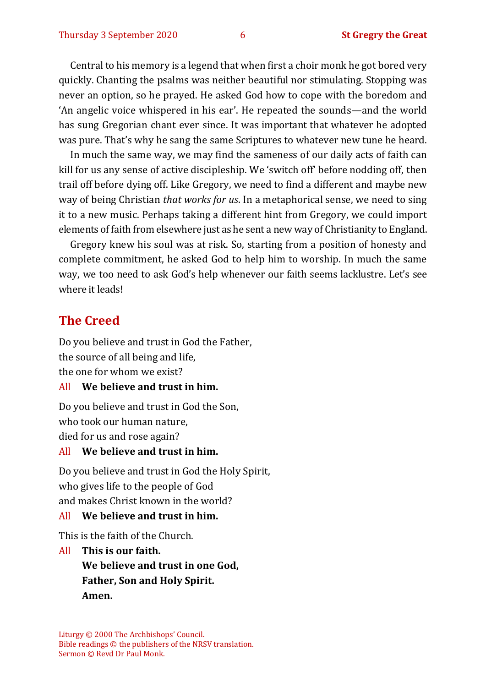Central to his memory is a legend that when first a choir monk he got bored very quickly. Chanting the psalms was neither beautiful nor stimulating. Stopping was never an option, so he prayed. He asked God how to cope with the boredom and 'An angelic voice whispered in his ear'. He repeated the sounds—and the world has sung Gregorian chant ever since. It was important that whatever he adopted was pure. That's why he sang the same Scriptures to whatever new tune he heard.

In much the same way, we may find the sameness of our daily acts of faith can kill for us any sense of active discipleship. We 'switch off' before nodding off, then trail off before dying off. Like Gregory, we need to find a different and maybe new way of being Christian *that works for us*. In a metaphorical sense, we need to sing it to a new music. Perhaps taking a different hint from Gregory, we could import elements of faith from elsewhere just as he sent a new way of Christianity to England.

Gregory knew his soul was at risk. So, starting from a position of honesty and complete commitment, he asked God to help him to worship. In much the same way, we too need to ask God's help whenever our faith seems lacklustre. Let's see where it leads!

#### **The Creed**

Do you believe and trust in God the Father, the source of all being and life, the one for whom we exist?

#### All **We believe and trust in him.**

Do you believe and trust in God the Son, who took our human nature, died for us and rose again?

#### All **We believe and trust in him.**

Do you believe and trust in God the Holy Spirit, who gives life to the people of God and makes Christ known in the world?

#### All **We believe and trust in him.**

This is the faith of the Church.

All **This is our faith. We believe and trust in one God, Father, Son and Holy Spirit. Amen.**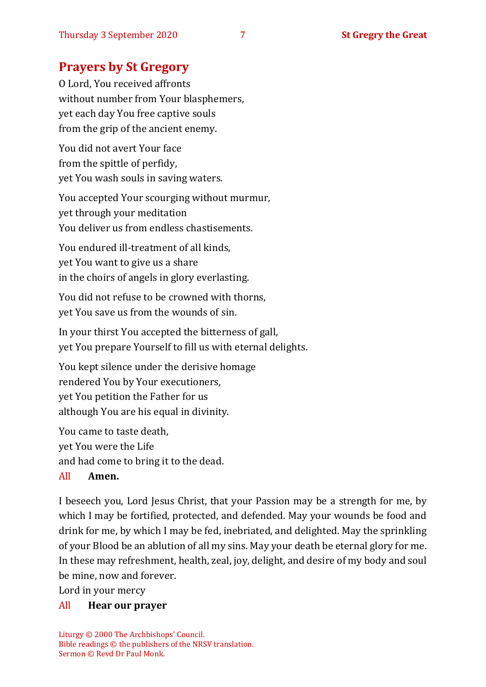# **Prayers by St Gregory**

O Lord, You received affronts without number from Your blasphemers, yet each day You free captive souls from the grip of the ancient enemy.

You did not avert Your face from the spittle of perfidy, yet You wash souls in saving waters.

You accepted Your scourging without murmur, yet through your meditation You deliver us from endless chastisements.

You endured ill-treatment of all kinds, yet You want to give us a share in the choirs of angels in glory everlasting.

You did not refuse to be crowned with thorns, yet You save us from the wounds of sin.

In your thirst You accepted the bitterness of gall, yet You prepare Yourself to fill us with eternal delights.

You kept silence under the derisive homage rendered You by Your executioners, yet You petition the Father for us although You are his equal in divinity.

You came to taste death, yet You were the Life and had come to bring it to the dead. All **Amen.**

I beseech you, Lord Jesus Christ, that your Passion may be a strength for me, by which I may be fortified, protected, and defended. May your wounds be food and drink for me, by which I may be fed, inebriated, and delighted. May the sprinkling of your Blood be an ablution of all my sins. May your death be eternal glory for me. In these may refreshment, health, zeal, joy, delight, and desire of my body and soul be mine, now and forever.

Lord in your mercy

#### All **Hear our prayer**

Liturgy © 2000 The Archbishops' Council. Bible readings © the publishers of the NRSV translation. Sermon © Revd Dr Paul Monk.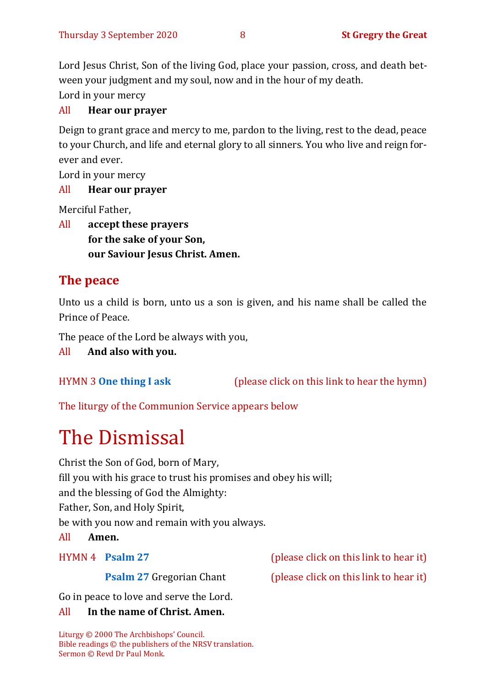Lord Jesus Christ, Son of the living God, place your passion, cross, and death between your judgment and my soul, now and in the hour of my death. Lord in your mercy

#### All **Hear our prayer**

Deign to grant grace and mercy to me, pardon to the living, rest to the dead, peace to your Church, and life and eternal glory to all sinners. You who live and reign forever and ever.

Lord in your mercy

#### All **Hear our prayer**

Merciful Father,

All **accept these prayers for the sake of your Son, our Saviour Jesus Christ. Amen.**

# **The peace**

Unto us a child is born, unto us a son is given, and his name shall be called the Prince of Peace.

The peace of the Lord be always with you,

All **And also with you.**

HYMN 3 **[One thing I ask](https://www.youtube.com/watch?v=od8900719uY)** (please click on this link to hear the hymn)

The liturgy of the Communion Service appears below

# The Dismissal

Christ the Son of God, born of Mary,

fill you with his grace to trust his promises and obey his will;

and the blessing of God the Almighty:

Father, Son, and Holy Spirit,

be with you now and remain with you always.

All **Amen.**

HYMN 4 **[Psalm 27](https://www.youtube.com/watch?v=2mSkHw7E9sw)** (please click on this link to hear it)

**[Psalm 27](https://www.youtube.com/watch?v=flzIpwrih8Q)** Gregorian Chant (please click on this link to hear it)

Go in peace to love and serve the Lord.

#### All **In the name of Christ. Amen.**

Liturgy © 2000 The Archbishops' Council. Bible readings © the publishers of the NRSV translation. Sermon © Revd Dr Paul Monk.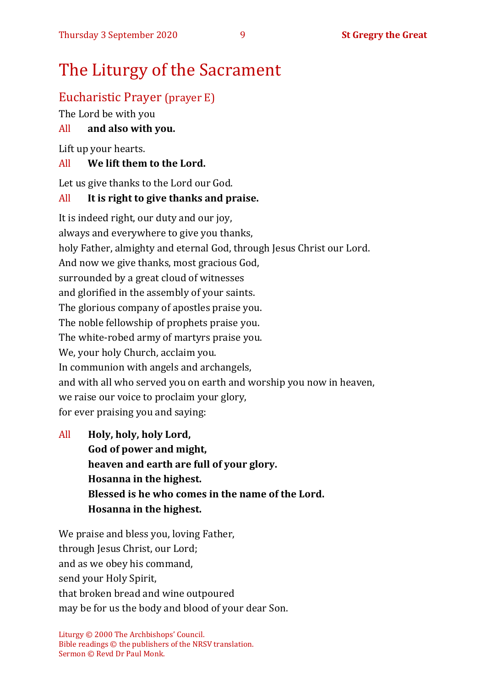# The Liturgy of the Sacrament

# Eucharistic Prayer (prayer E)

The Lord be with you

### All **and also with you.**

Lift up your hearts.

#### All **We lift them to the Lord.**

Let us give thanks to the Lord our God.

#### All **It is right to give thanks and praise.**

It is indeed right, our duty and our joy, always and everywhere to give you thanks, holy Father, almighty and eternal God, through Jesus Christ our Lord. And now we give thanks, most gracious God, surrounded by a great cloud of witnesses and glorified in the assembly of your saints. The glorious company of apostles praise you. The noble fellowship of prophets praise you. The white-robed army of martyrs praise you. We, your holy Church, acclaim you. In communion with angels and archangels, and with all who served you on earth and worship you now in heaven, we raise our voice to proclaim your glory, for ever praising you and saying:

All **Holy, holy, holy Lord, God of power and might, heaven and earth are full of your glory. Hosanna in the highest. Blessed is he who comes in the name of the Lord. Hosanna in the highest.**

We praise and bless you, loving Father, through Jesus Christ, our Lord; and as we obey his command, send your Holy Spirit, that broken bread and wine outpoured may be for us the body and blood of your dear Son.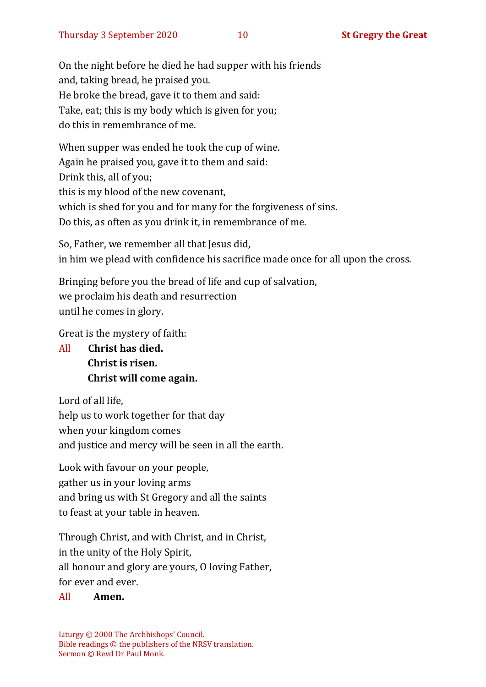On the night before he died he had supper with his friends and, taking bread, he praised you. He broke the bread, gave it to them and said: Take, eat; this is my body which is given for you; do this in remembrance of me.

When supper was ended he took the cup of wine. Again he praised you, gave it to them and said: Drink this, all of you; this is my blood of the new covenant, which is shed for you and for many for the forgiveness of sins. Do this, as often as you drink it, in remembrance of me.

So, Father, we remember all that Jesus did, in him we plead with confidence his sacrifice made once for all upon the cross.

Bringing before you the bread of life and cup of salvation, we proclaim his death and resurrection until he comes in glory.

Great is the mystery of faith:

All **Christ has died. Christ is risen. Christ will come again.**

Lord of all life, help us to work together for that day when your kingdom comes and justice and mercy will be seen in all the earth.

Look with favour on your people, gather us in your loving arms and bring us with St Gregory and all the saints to feast at your table in heaven.

Through Christ, and with Christ, and in Christ, in the unity of the Holy Spirit, all honour and glory are yours, O loving Father, for ever and ever.

#### All **Amen.**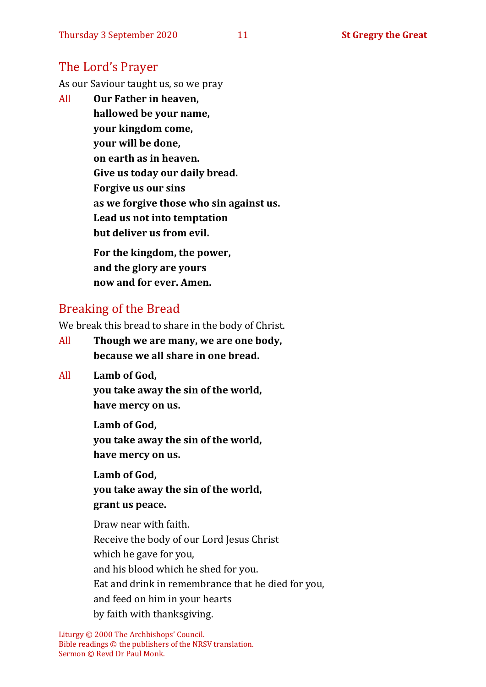# The Lord's Prayer

As our Saviour taught us, so we pray

All **Our Father in heaven, hallowed be your name, your kingdom come, your will be done, on earth as in heaven. Give us today our daily bread. Forgive us our sins as we forgive those who sin against us. Lead us not into temptation but deliver us from evil. For the kingdom, the power,** 

**and the glory are yours now and for ever. Amen.**

# Breaking of the Bread

We break this bread to share in the body of Christ.

- All **Though we are many, we are one body, because we all share in one bread.**
- All **Lamb of God,**

**you take away the sin of the world, have mercy on us.**

**Lamb of God, you take away the sin of the world, have mercy on us.**

**Lamb of God, you take away the sin of the world, grant us peace.**

Draw near with faith. Receive the body of our Lord Jesus Christ which he gave for you, and his blood which he shed for you. Eat and drink in remembrance that he died for you, and feed on him in your hearts by faith with thanksgiving.